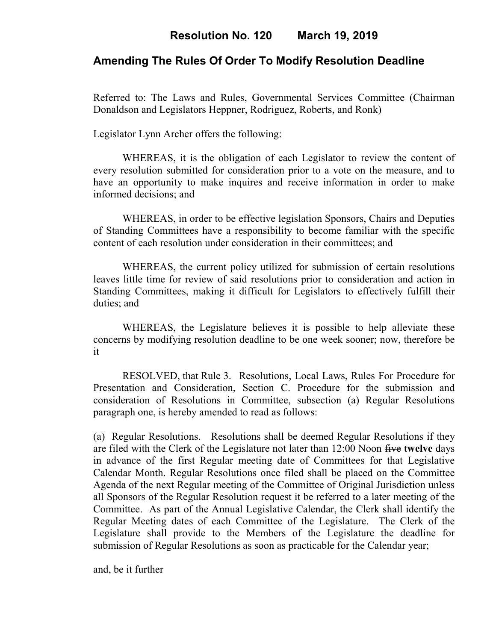# **Amending The Rules Of Order To Modify Resolution Deadline**

Referred to: The Laws and Rules, Governmental Services Committee (Chairman Donaldson and Legislators Heppner, Rodriguez, Roberts, and Ronk)

Legislator Lynn Archer offers the following:

WHEREAS, it is the obligation of each Legislator to review the content of every resolution submitted for consideration prior to a vote on the measure, and to have an opportunity to make inquires and receive information in order to make informed decisions; and

WHEREAS, in order to be effective legislation Sponsors, Chairs and Deputies of Standing Committees have a responsibility to become familiar with the specific content of each resolution under consideration in their committees; and

WHEREAS, the current policy utilized for submission of certain resolutions leaves little time for review of said resolutions prior to consideration and action in Standing Committees, making it difficult for Legislators to effectively fulfill their duties; and

WHEREAS, the Legislature believes it is possible to help alleviate these concerns by modifying resolution deadline to be one week sooner; now, therefore be it

RESOLVED, that Rule 3. Resolutions, Local Laws, Rules For Procedure for Presentation and Consideration, Section C. Procedure for the submission and consideration of Resolutions in Committee, subsection (a) Regular Resolutions paragraph one, is hereby amended to read as follows:

(a) Regular Resolutions. Resolutions shall be deemed Regular Resolutions if they are filed with the Clerk of the Legislature not later than 12:00 Noon five **twelve** days in advance of the first Regular meeting date of Committees for that Legislative Calendar Month. Regular Resolutions once filed shall be placed on the Committee Agenda of the next Regular meeting of the Committee of Original Jurisdiction unless all Sponsors of the Regular Resolution request it be referred to a later meeting of the Committee. As part of the Annual Legislative Calendar, the Clerk shall identify the Regular Meeting dates of each Committee of the Legislature. The Clerk of the Legislature shall provide to the Members of the Legislature the deadline for submission of Regular Resolutions as soon as practicable for the Calendar year;

and, be it further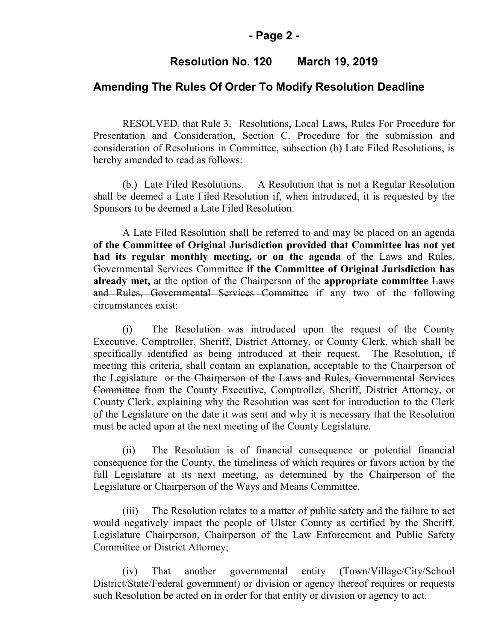### **- Page 2 -**

## **Resolution No. 120 March 19, 2019**

#### **Amending The Rules Of Order To Modify Resolution Deadline**

RESOLVED, that Rule 3. Resolutions, Local Laws, Rules For Procedure for Presentation and Consideration, Section C. Procedure for the submission and consideration of Resolutions in Committee, subsection (b) Late Filed Resolutions, is hereby amended to read as follows:

(b.) Late Filed Resolutions. A Resolution that is not a Regular Resolution shall be deemed a Late Filed Resolution if, when introduced, it is requested by the Sponsors to be deemed a Late Filed Resolution.

A Late Filed Resolution shall be referred to and may be placed on an agenda **of the Committee of Original Jurisdiction provided that Committee has not yet had its regular monthly meeting, or on the agenda** of the Laws and Rules, Governmental Services Committee **if the Committee of Original Jurisdiction has already met,** at the option of the Chairperson of the **appropriate committee** Laws and Rules, Governmental Services Committee if any two of the following circumstances exist:

(i) The Resolution was introduced upon the request of the County Executive, Comptroller, Sheriff, District Attorney, or County Clerk, which shall be specifically identified as being introduced at their request. The Resolution, if meeting this criteria, shall contain an explanation, acceptable to the Chairperson of the Legislature or the Chairperson of the Laws and Rules, Governmental Services Committee from the County Executive, Comptroller, Sheriff, District Attorney, or County Clerk, explaining why the Resolution was sent for introduction to the Clerk of the Legislature on the date it was sent and why it is necessary that the Resolution must be acted upon at the next meeting of the County Legislature.

(ii) The Resolution is of financial consequence or potential financial consequence for the County, the timeliness of which requires or favors action by the full Legislature at its next meeting, as determined by the Chairperson of the Legislature or Chairperson of the Ways and Means Committee.

(iii) The Resolution relates to a matter of public safety and the failure to act would negatively impact the people of Ulster County as certified by the Sheriff, Legislature Chairperson, Chairperson of the Law Enforcement and Public Safety Committee or District Attorney;

(iv) That another governmental entity (Town/Village/City/School District/State/Federal government) or division or agency thereof requires or requests such Resolution be acted on in order for that entity or division or agency to act.